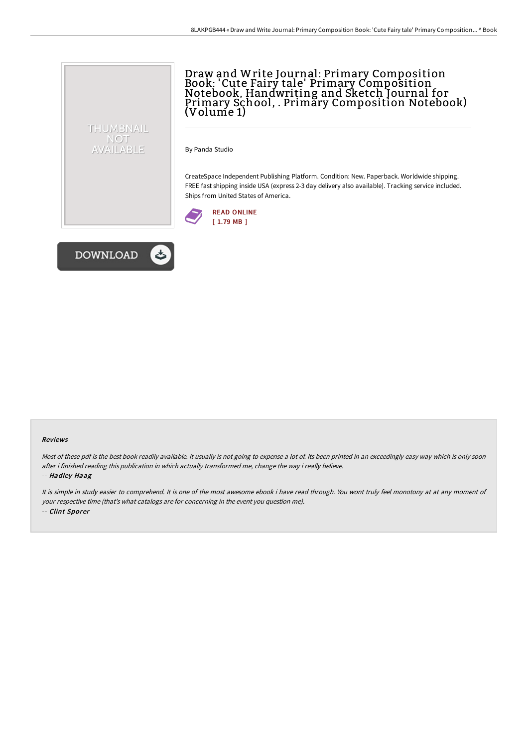

Draw and Write Journal: Primary Composition Book: 'Cute Fairy tale' Primary Composition Notebook, Handwriting and Sketch Journal for Primary School, . Primary Composition Notebook) (Volume 1)

By Panda Studio

CreateSpace Independent Publishing Platform. Condition: New. Paperback. Worldwide shipping. FREE fast shipping inside USA (express 2-3 day delivery also available). Tracking service included. Ships from United States of America.





#### Reviews

Most of these pdf is the best book readily available. It usually is not going to expense <sup>a</sup> lot of. Its been printed in an exceedingly easy way which is only soon after i finished reading this publication in which actually transformed me, change the way i really believe. -- Hadley Haag

It is simple in study easier to comprehend. It is one of the most awesome ebook i have read through. You wont truly feel monotony at at any moment of your respective time (that's what catalogs are for concerning in the event you question me). -- Clint Sporer